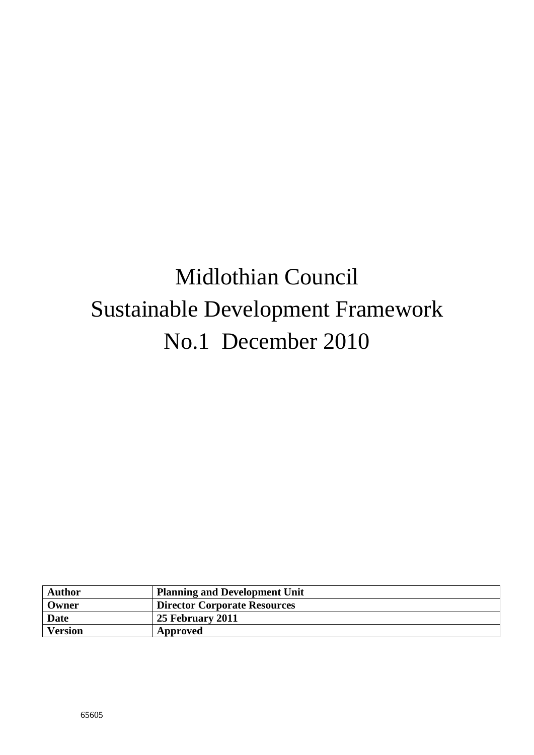# Midlothian Council Sustainable Development Framework No.1 December 2010

| <b>Author</b>  | <b>Planning and Development Unit</b> |
|----------------|--------------------------------------|
| Owner          | <b>Director Corporate Resources</b>  |
| <b>Date</b>    | 25 February 2011                     |
| <b>Version</b> | Approved                             |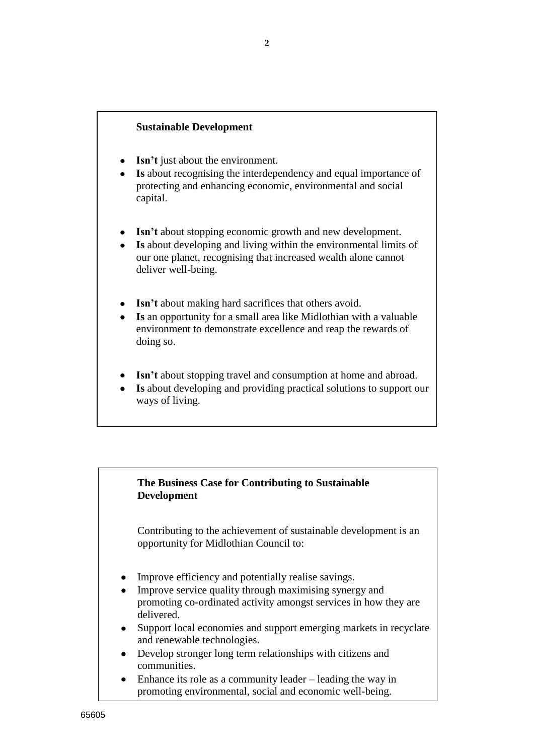# **Sustainable Development**

- **Isn"t** just about the environment.
- **Is** about recognising the interdependency and equal importance of protecting and enhancing economic, environmental and social capital.
- **Isn"t** about stopping economic growth and new development.
- **Is** about developing and living within the environmental limits of our one planet, recognising that increased wealth alone cannot deliver well-being.
- **Isn't** about making hard sacrifices that others avoid.
- **Is** an opportunity for a small area like Midlothian with a valuable environment to demonstrate excellence and reap the rewards of doing so.
- **Isn't** about stopping travel and consumption at home and abroad.
- **Is** about developing and providing practical solutions to support our ways of living.

# **The Business Case for Contributing to Sustainable Development**

Contributing to the achievement of sustainable development is an opportunity for Midlothian Council to:

- Improve efficiency and potentially realise savings.
- Improve service quality through maximising synergy and promoting co-ordinated activity amongst services in how they are delivered.
- Support local economies and support emerging markets in recyclate  $\bullet$ and renewable technologies.
- Develop stronger long term relationships with citizens and communities.
- Enhance its role as a community leader leading the way in promoting environmental, social and economic well-being.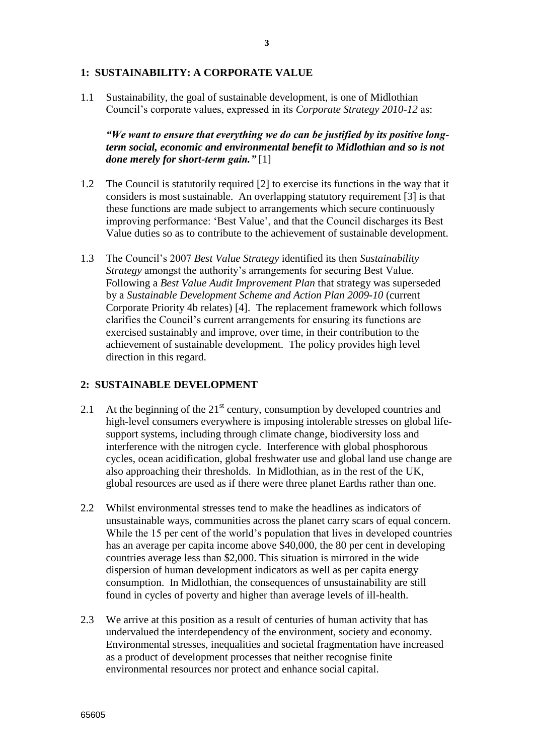#### **1: SUSTAINABILITY: A CORPORATE VALUE**

1.1 Sustainability, the goal of sustainable development, is one of Midlothian Council"s corporate values, expressed in its *Corporate Strategy 2010-12* as:

*"We want to ensure that everything we do can be justified by its positive longterm social, economic and environmental benefit to Midlothian and so is not done merely for short-term gain."* [1]

- 1.2 The Council is statutorily required [2] to exercise its functions in the way that it considers is most sustainable. An overlapping statutory requirement [3] is that these functions are made subject to arrangements which secure continuously improving performance: "Best Value", and that the Council discharges its Best Value duties so as to contribute to the achievement of sustainable development.
- 1.3 The Council"s 2007 *Best Value Strategy* identified its then *Sustainability Strategy* amongst the authority's arrangements for securing Best Value. Following a *Best Value Audit Improvement Plan* that strategy was superseded by a *Sustainable Development Scheme and Action Plan 2009-10* (current Corporate Priority 4b relates) [4]. The replacement framework which follows clarifies the Council"s current arrangements for ensuring its functions are exercised sustainably and improve, over time, in their contribution to the achievement of sustainable development. The policy provides high level direction in this regard.

#### **2: SUSTAINABLE DEVELOPMENT**

- 2.1 At the beginning of the  $21<sup>st</sup>$  century, consumption by developed countries and high-level consumers everywhere is imposing intolerable stresses on global lifesupport systems, including through climate change, biodiversity loss and interference with the nitrogen cycle. Interference with global phosphorous cycles, ocean acidification, global freshwater use and global land use change are also approaching their thresholds. In Midlothian, as in the rest of the UK, global resources are used as if there were three planet Earths rather than one.
- 2.2 Whilst environmental stresses tend to make the headlines as indicators of unsustainable ways, communities across the planet carry scars of equal concern. While the 15 per cent of the world's population that lives in developed countries has an average per capita income above \$40,000, the 80 per cent in developing countries average less than \$2,000. This situation is mirrored in the wide dispersion of human development indicators as well as per capita energy consumption. In Midlothian, the consequences of unsustainability are still found in cycles of poverty and higher than average levels of ill-health.
- 2.3 We arrive at this position as a result of centuries of human activity that has undervalued the interdependency of the environment, society and economy. Environmental stresses, inequalities and societal fragmentation have increased as a product of development processes that neither recognise finite environmental resources nor protect and enhance social capital.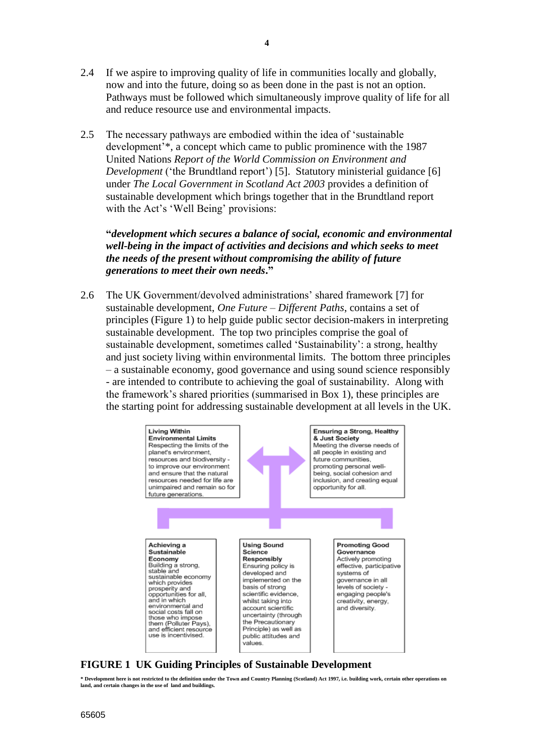- 2.4 If we aspire to improving quality of life in communities locally and globally, now and into the future, doing so as been done in the past is not an option. Pathways must be followed which simultaneously improve quality of life for all and reduce resource use and environmental impacts.
- 2.5 The necessary pathways are embodied within the idea of "sustainable development"\*, a concept which came to public prominence with the 1987 United Nations *Report of the World Commission on Environment and Development* ('the Brundtland report') [5]. Statutory ministerial guidance [6] under *The Local Government in Scotland Act 2003* provides a definition of sustainable development which brings together that in the Brundtland report with the Act's 'Well Being' provisions:

**"***development which secures a balance of social, economic and environmental well-being in the impact of activities and decisions and which seeks to meet the needs of the present without compromising the ability of future generations to meet their own needs***."**

2.6 The UK Government/devolved administrations" shared framework [7] for sustainable development, *One Future – Different Paths*, contains a set of principles (Figure 1) to help guide public sector decision-makers in interpreting sustainable development. The top two principles comprise the goal of sustainable development, sometimes called "Sustainability": a strong, healthy and just society living within environmental limits. The bottom three principles – a sustainable economy, good governance and using sound science responsibly - are intended to contribute to achieving the goal of sustainability. Along with the framework"s shared priorities (summarised in Box 1), these principles are the starting point for addressing sustainable development at all levels in the UK.



# **FIGURE 1 UK Guiding Principles of Sustainable Development**

**\* Development here is not restricted to the definition under the Town and Country Planning (Scotland) Act 1997, i.e. building work, certain other operations on land, and certain changes in the use of land and buildings.**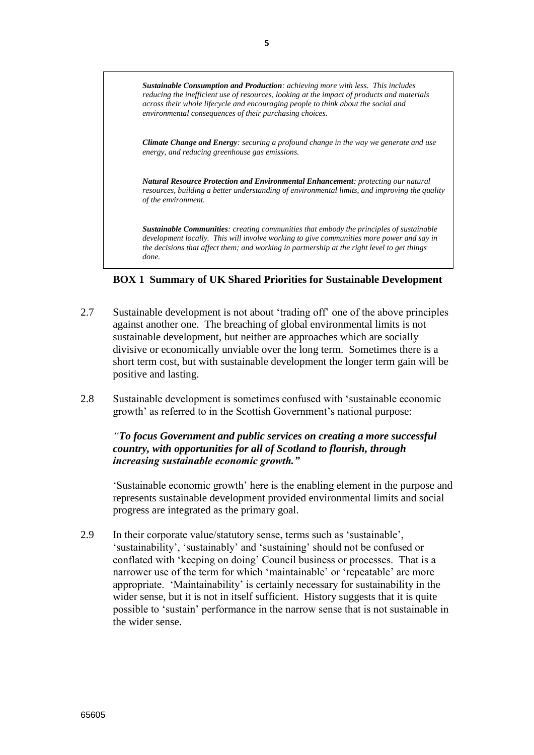*Sustainable Consumption and Production: achieving more with less. This includes reducing the inefficient use of resources, looking at the impact of products and materials across their whole lifecycle and encouraging people to think about the social and environmental consequences of their purchasing choices.*

*Climate Change and Energy: securing a profound change in the way we generate and use energy, and reducing greenhouse gas emissions.*

*Natural Resource Protection and Environmental Enhancement: protecting our natural resources, building a better understanding of environmental limits, and improving the quality of the environment.*

*Sustainable Communities: creating communities that embody the principles of sustainable development locally. This will involve working to give communities more power and say in the decisions that affect them; and working in partnership at the right level to get things done.* 

#### **BOX 1 Summary of UK Shared Priorities for Sustainable Development**

- 2.7 Sustainable development is not about "trading off" one of the above principles against another one. The breaching of global environmental limits is not sustainable development, but neither are approaches which are socially divisive or economically unviable over the long term. Sometimes there is a short term cost, but with sustainable development the longer term gain will be positive and lasting.
- 2.8 Sustainable development is sometimes confused with "sustainable economic growth' as referred to in the Scottish Government's national purpose:

*"To focus Government and public services on creating a more successful country, with opportunities for all of Scotland to flourish, through increasing sustainable economic growth."*

"Sustainable economic growth" here is the enabling element in the purpose and represents sustainable development provided environmental limits and social progress are integrated as the primary goal.

2.9 In their corporate value/statutory sense, terms such as "sustainable", "sustainability", "sustainably" and "sustaining" should not be confused or conflated with "keeping on doing" Council business or processes. That is a narrower use of the term for which "maintainable" or "repeatable" are more appropriate. "Maintainability" is certainly necessary for sustainability in the wider sense, but it is not in itself sufficient. History suggests that it is quite possible to "sustain" performance in the narrow sense that is not sustainable in the wider sense.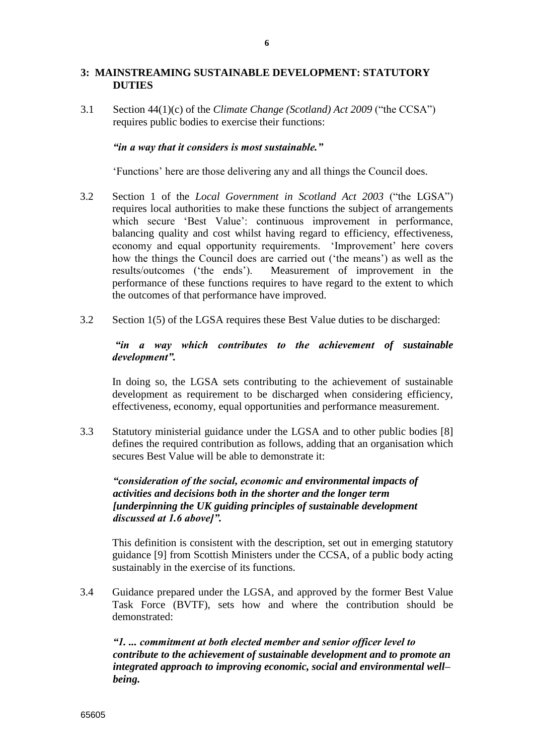# **3: MAINSTREAMING SUSTAINABLE DEVELOPMENT: STATUTORY DUTIES**

3.1 Section 44(1)(c) of the *Climate Change (Scotland) Act 2009* ("the CCSA") requires public bodies to exercise their functions:

#### *"in a way that it considers is most sustainable."*

"Functions" here are those delivering any and all things the Council does.

- 3.2 Section 1 of the *Local Government in Scotland Act 2003* ("the LGSA") requires local authorities to make these functions the subject of arrangements which secure 'Best Value': continuous improvement in performance, balancing quality and cost whilst having regard to efficiency, effectiveness, economy and equal opportunity requirements. 'Improvement' here covers how the things the Council does are carried out ('the means') as well as the results/outcomes ("the ends"). Measurement of improvement in the performance of these functions requires to have regard to the extent to which the outcomes of that performance have improved.
- 3.2 Section 1(5) of the LGSA requires these Best Value duties to be discharged:

## *"in a way which contributes to the achievement of sustainable development".*

In doing so, the LGSA sets contributing to the achievement of sustainable development as requirement to be discharged when considering efficiency, effectiveness, economy, equal opportunities and performance measurement.

3.3 Statutory ministerial guidance under the LGSA and to other public bodies [8] defines the required contribution as follows, adding that an organisation which secures Best Value will be able to demonstrate it:

# *"consideration of the social, economic and environmental impacts of activities and decisions both in the shorter and the longer term [underpinning the UK guiding principles of sustainable development discussed at 1.6 above]".*

This definition is consistent with the description, set out in emerging statutory guidance [9] from Scottish Ministers under the CCSA, of a public body acting sustainably in the exercise of its functions.

3.4 Guidance prepared under the LGSA, and approved by the former Best Value Task Force (BVTF), sets how and where the contribution should be demonstrated:

*"1. ... commitment at both elected member and senior officer level to contribute to the achievement of sustainable development and to promote an integrated approach to improving economic, social and environmental well– being.*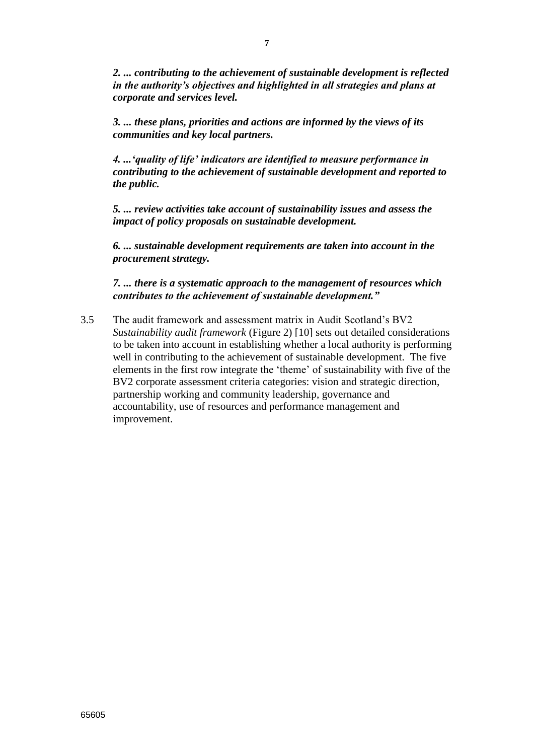*2. ... contributing to the achievement of sustainable development is reflected in the authority"s objectives and highlighted in all strategies and plans at corporate and services level.*

*3. ... these plans, priorities and actions are informed by the views of its communities and key local partners.*

*4. ..."quality of life" indicators are identified to measure performance in contributing to the achievement of sustainable development and reported to the public.*

*5. ... review activities take account of sustainability issues and assess the impact of policy proposals on sustainable development.*

*6. ... sustainable development requirements are taken into account in the procurement strategy.*

*7. ... there is a systematic approach to the management of resources which contributes to the achievement of sustainable development."*

3.5 The audit framework and assessment matrix in Audit Scotland"s BV2 *Sustainability audit framework* (Figure 2) [10] sets out detailed considerations to be taken into account in establishing whether a local authority is performing well in contributing to the achievement of sustainable development. The five elements in the first row integrate the "theme" of sustainability with five of the BV2 corporate assessment criteria categories: vision and strategic direction, partnership working and community leadership, governance and accountability, use of resources and performance management and improvement.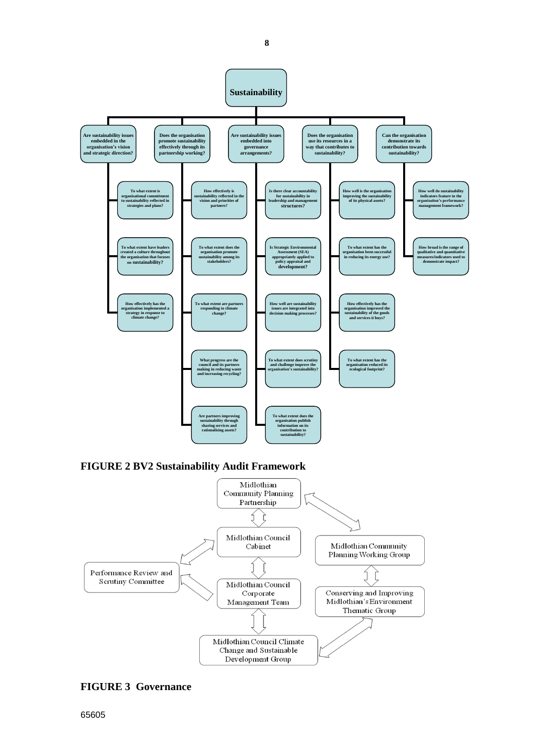

## **FIGURE 3 Governance**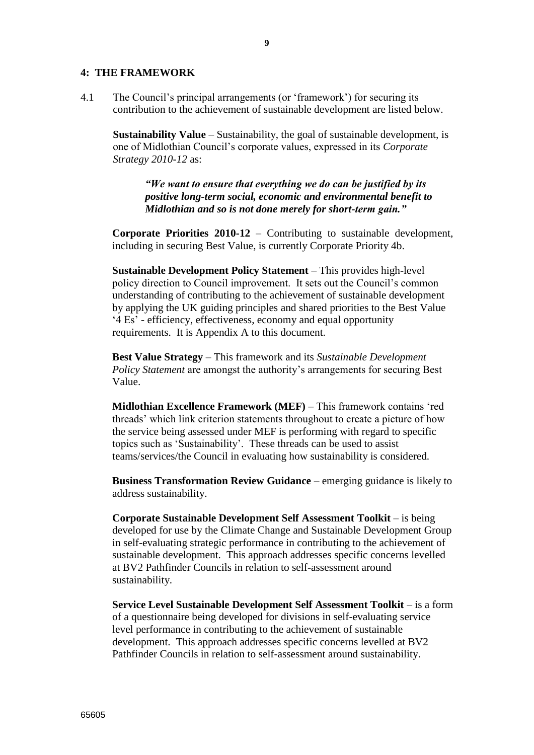#### **4: THE FRAMEWORK**

4.1 The Council"s principal arrangements (or "framework") for securing its contribution to the achievement of sustainable development are listed below.

**Sustainability Value** – Sustainability, the goal of sustainable development, is one of Midlothian Council"s corporate values, expressed in its *Corporate Strategy 2010-12* as:

*"We want to ensure that everything we do can be justified by its positive long-term social, economic and environmental benefit to Midlothian and so is not done merely for short-term gain."*

**Corporate Priorities 2010-12** – Contributing to sustainable development, including in securing Best Value, is currently Corporate Priority 4b.

**Sustainable Development Policy Statement** – This provides high-level policy direction to Council improvement. It sets out the Council"s common understanding of contributing to the achievement of sustainable development by applying the UK guiding principles and shared priorities to the Best Value "4 Es" - efficiency, effectiveness, economy and equal opportunity requirements. It is Appendix A to this document.

**Best Value Strategy** – This framework and its *Sustainable Development Policy Statement* are amongst the authority's arrangements for securing Best Value.

**Midlothian Excellence Framework (MEF)** – This framework contains "red threads" which link criterion statements throughout to create a picture of how the service being assessed under MEF is performing with regard to specific topics such as "Sustainability". These threads can be used to assist teams/services/the Council in evaluating how sustainability is considered.

**Business Transformation Review Guidance** – emerging guidance is likely to address sustainability.

**Corporate Sustainable Development Self Assessment Toolkit** – is being developed for use by the Climate Change and Sustainable Development Group in self-evaluating strategic performance in contributing to the achievement of sustainable development. This approach addresses specific concerns levelled at BV2 Pathfinder Councils in relation to self-assessment around sustainability.

**Service Level Sustainable Development Self Assessment Toolkit** – is a form of a questionnaire being developed for divisions in self-evaluating service level performance in contributing to the achievement of sustainable development. This approach addresses specific concerns levelled at BV2 Pathfinder Councils in relation to self-assessment around sustainability.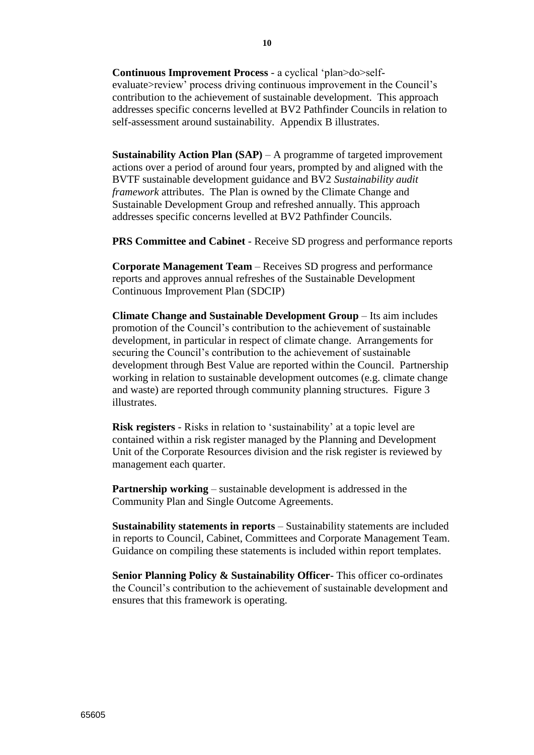**Continuous Improvement Process** - a cyclical "plan>do>selfevaluate>review' process driving continuous improvement in the Council's contribution to the achievement of sustainable development. This approach addresses specific concerns levelled at BV2 Pathfinder Councils in relation to self-assessment around sustainability. Appendix B illustrates.

**Sustainability Action Plan (SAP)** – A programme of targeted improvement actions over a period of around four years, prompted by and aligned with the BVTF sustainable development guidance and BV2 *Sustainability audit framework* attributes. The Plan is owned by the Climate Change and Sustainable Development Group and refreshed annually. This approach addresses specific concerns levelled at BV2 Pathfinder Councils.

**PRS Committee and Cabinet** - Receive SD progress and performance reports

**Corporate Management Team** – Receives SD progress and performance reports and approves annual refreshes of the Sustainable Development Continuous Improvement Plan (SDCIP)

**Climate Change and Sustainable Development Group** – Its aim includes promotion of the Council"s contribution to the achievement of sustainable development, in particular in respect of climate change. Arrangements for securing the Council's contribution to the achievement of sustainable development through Best Value are reported within the Council. Partnership working in relation to sustainable development outcomes (e.g. climate change and waste) are reported through community planning structures. Figure 3 illustrates.

**Risk registers** - Risks in relation to 'sustainability' at a topic level are contained within a risk register managed by the Planning and Development Unit of the Corporate Resources division and the risk register is reviewed by management each quarter.

**Partnership working** – sustainable development is addressed in the Community Plan and Single Outcome Agreements.

**Sustainability statements in reports** – Sustainability statements are included in reports to Council, Cabinet, Committees and Corporate Management Team. Guidance on compiling these statements is included within report templates.

**Senior Planning Policy & Sustainability Officer**- This officer co-ordinates the Council"s contribution to the achievement of sustainable development and ensures that this framework is operating.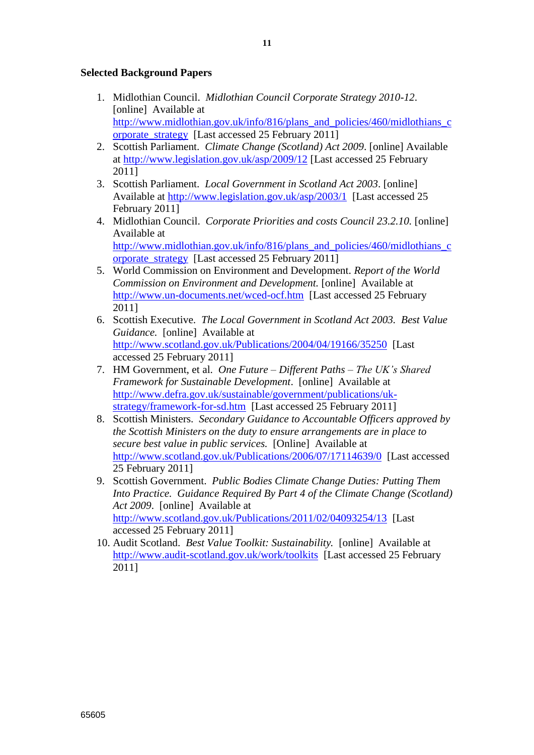# **Selected Background Papers**

- 1. Midlothian Council. *Midlothian Council Corporate Strategy 2010-12*. [online] Available at [http://www.midlothian.gov.uk/info/816/plans\\_and\\_policies/460/midlothians\\_c](http://www.midlothian.gov.uk/info/816/plans_and_policies/460/midlothians_corporate_strategy) [orporate\\_strategy](http://www.midlothian.gov.uk/info/816/plans_and_policies/460/midlothians_corporate_strategy) [Last accessed 25 February 2011]
- 2. Scottish Parliament. *Climate Change (Scotland) Act 2009*. [online] Available at<http://www.legislation.gov.uk/asp/2009/12> [Last accessed 25 February 2011]
- 3. Scottish Parliament. *Local Government in Scotland Act 2003*. [online] Available at<http://www.legislation.gov.uk/asp/2003/1>[Last accessed 25 February 2011]
- 4. Midlothian Council. *Corporate Priorities and costs Council 23.2.10.* [online] Available at [http://www.midlothian.gov.uk/info/816/plans\\_and\\_policies/460/midlothians\\_c](http://www.midlothian.gov.uk/info/816/plans_and_policies/460/midlothians_corporate_strategy) [orporate\\_strategy](http://www.midlothian.gov.uk/info/816/plans_and_policies/460/midlothians_corporate_strategy) [Last accessed 25 February 2011]
- 5. World Commission on Environment and Development. *Report of the World Commission on Environment and Development.* [online] Available at <http://www.un-documents.net/wced-ocf.htm>[Last accessed 25 February 2011]
- 6. Scottish Executive. *The Local Government in Scotland Act 2003. Best Value Guidance.* [online] Available at <http://www.scotland.gov.uk/Publications/2004/04/19166/35250>[Last accessed 25 February 2011]
- 7. HM Government, et al. *One Future – Different Paths – The UK's Shared Framework for Sustainable Development*. [online] Available at [http://www.defra.gov.uk/sustainable/government/publications/uk](http://www.defra.gov.uk/sustainable/government/publications/uk-strategy/framework-for-sd.htm)[strategy/framework-for-sd.htm](http://www.defra.gov.uk/sustainable/government/publications/uk-strategy/framework-for-sd.htm) [Last accessed 25 February 2011]
- 8. Scottish Ministers. *Secondary Guidance to Accountable Officers approved by the Scottish Ministers on the duty to ensure arrangements are in place to secure best value in public services.* [Online] Available at <http://www.scotland.gov.uk/Publications/2006/07/17114639/0>[Last accessed 25 February 2011]
- 9. Scottish Government. *Public Bodies Climate Change Duties: Putting Them Into Practice. Guidance Required By Part 4 of the Climate Change (Scotland) Act 2009*. [online] Available at <http://www.scotland.gov.uk/Publications/2011/02/04093254/13>[Last accessed 25 February 2011]
- 10. Audit Scotland. *Best Value Toolkit: Sustainability.* [online] Available at <http://www.audit-scotland.gov.uk/work/toolkits>[Last accessed 25 February 2011]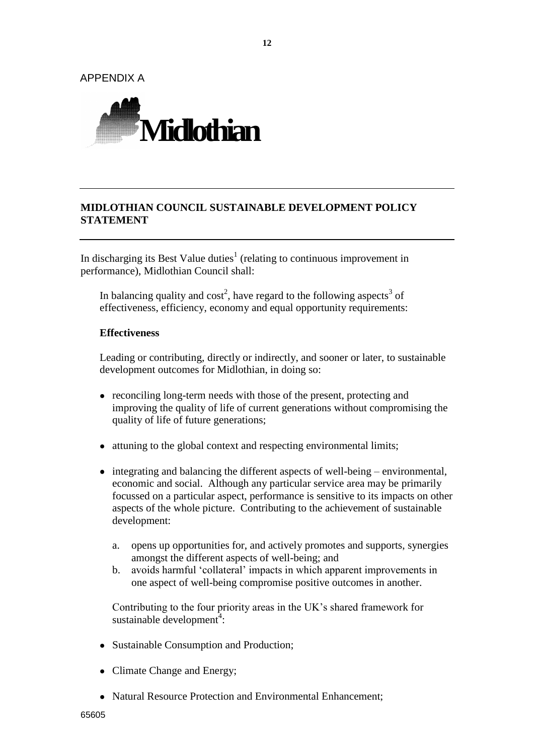**12**

APPENDIX A



# **MIDLOTHIAN COUNCIL SUSTAINABLE DEVELOPMENT POLICY STATEMENT**

In discharging its Best Value duties<sup>1</sup> (relating to continuous improvement in performance), Midlothian Council shall:

In balancing quality and  $cost^2$ , have regard to the following aspects<sup>3</sup> of effectiveness, efficiency, economy and equal opportunity requirements:

#### **Effectiveness**

Leading or contributing, directly or indirectly, and sooner or later, to sustainable development outcomes for Midlothian, in doing so:

- reconciling long-term needs with those of the present, protecting and improving the quality of life of current generations without compromising the quality of life of future generations;
- attuning to the global context and respecting environmental limits;
- integrating and balancing the different aspects of well-being environmental, economic and social. Although any particular service area may be primarily focussed on a particular aspect, performance is sensitive to its impacts on other aspects of the whole picture. Contributing to the achievement of sustainable development:
	- a. opens up opportunities for, and actively promotes and supports, synergies amongst the different aspects of well-being; and
	- b. avoids harmful "collateral" impacts in which apparent improvements in one aspect of well-being compromise positive outcomes in another.

Contributing to the four priority areas in the UK"s shared framework for sustainable development<sup>4</sup>:

- Sustainable Consumption and Production;
- Climate Change and Energy;
- Natural Resource Protection and Environmental Enhancement: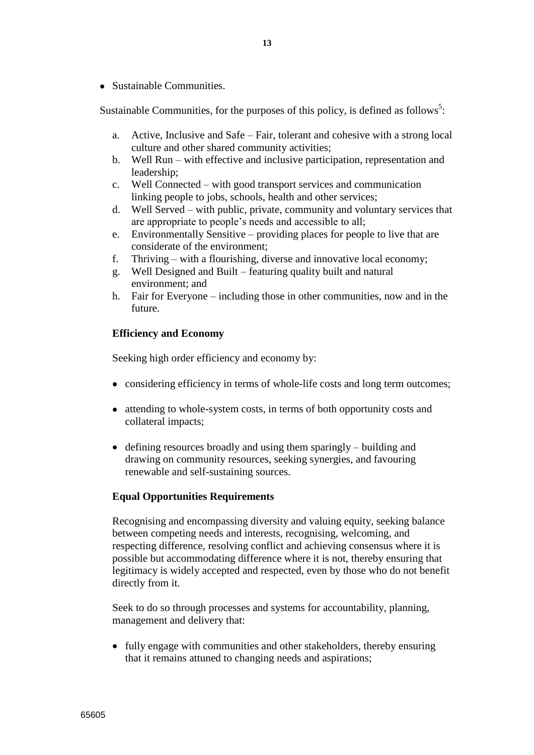• Sustainable Communities.

Sustainable Communities, for the purposes of this policy, is defined as follows<sup>5</sup>:

- a. Active, Inclusive and Safe Fair, tolerant and cohesive with a strong local culture and other shared community activities;
- b. Well Run with effective and inclusive participation, representation and leadership;
- c. Well Connected with good transport services and communication linking people to jobs, schools, health and other services;
- d. Well Served with public, private, community and voluntary services that are appropriate to people"s needs and accessible to all;
- e. Environmentally Sensitive providing places for people to live that are considerate of the environment;
- f. Thriving with a flourishing, diverse and innovative local economy;
- g. Well Designed and Built featuring quality built and natural environment; and
- h. Fair for Everyone including those in other communities, now and in the future.

# **Efficiency and Economy**

Seeking high order efficiency and economy by:

- considering efficiency in terms of whole-life costs and long term outcomes;
- attending to whole-system costs, in terms of both opportunity costs and collateral impacts;
- $\bullet$  defining resources broadly and using them sparingly building and drawing on community resources, seeking synergies, and favouring renewable and self-sustaining sources.

## **Equal Opportunities Requirements**

Recognising and encompassing diversity and valuing equity, seeking balance between competing needs and interests, recognising, welcoming, and respecting difference, resolving conflict and achieving consensus where it is possible but accommodating difference where it is not, thereby ensuring that legitimacy is widely accepted and respected, even by those who do not benefit directly from it.

Seek to do so through processes and systems for accountability, planning, management and delivery that:

• fully engage with communities and other stakeholders, thereby ensuring that it remains attuned to changing needs and aspirations;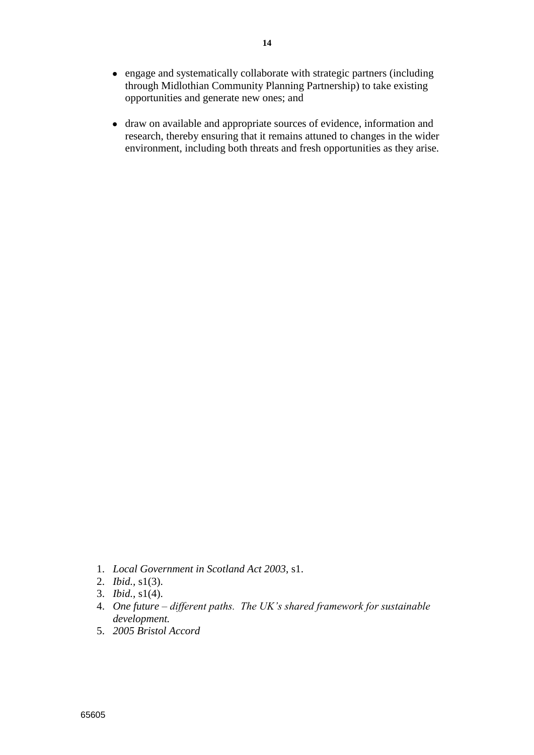- engage and systematically collaborate with strategic partners (including through Midlothian Community Planning Partnership) to take existing opportunities and generate new ones; and
- draw on available and appropriate sources of evidence, information and research, thereby ensuring that it remains attuned to changes in the wider environment, including both threats and fresh opportunities as they arise.

- 1. *Local Government in Scotland Act 2003*, s1.
- 2. *Ibid.,* s1(3).
- 3. *Ibid.,* s1(4).
- 4. *One future – different paths. The UK's shared framework for sustainable development.*
- 5. *2005 Bristol Accord*